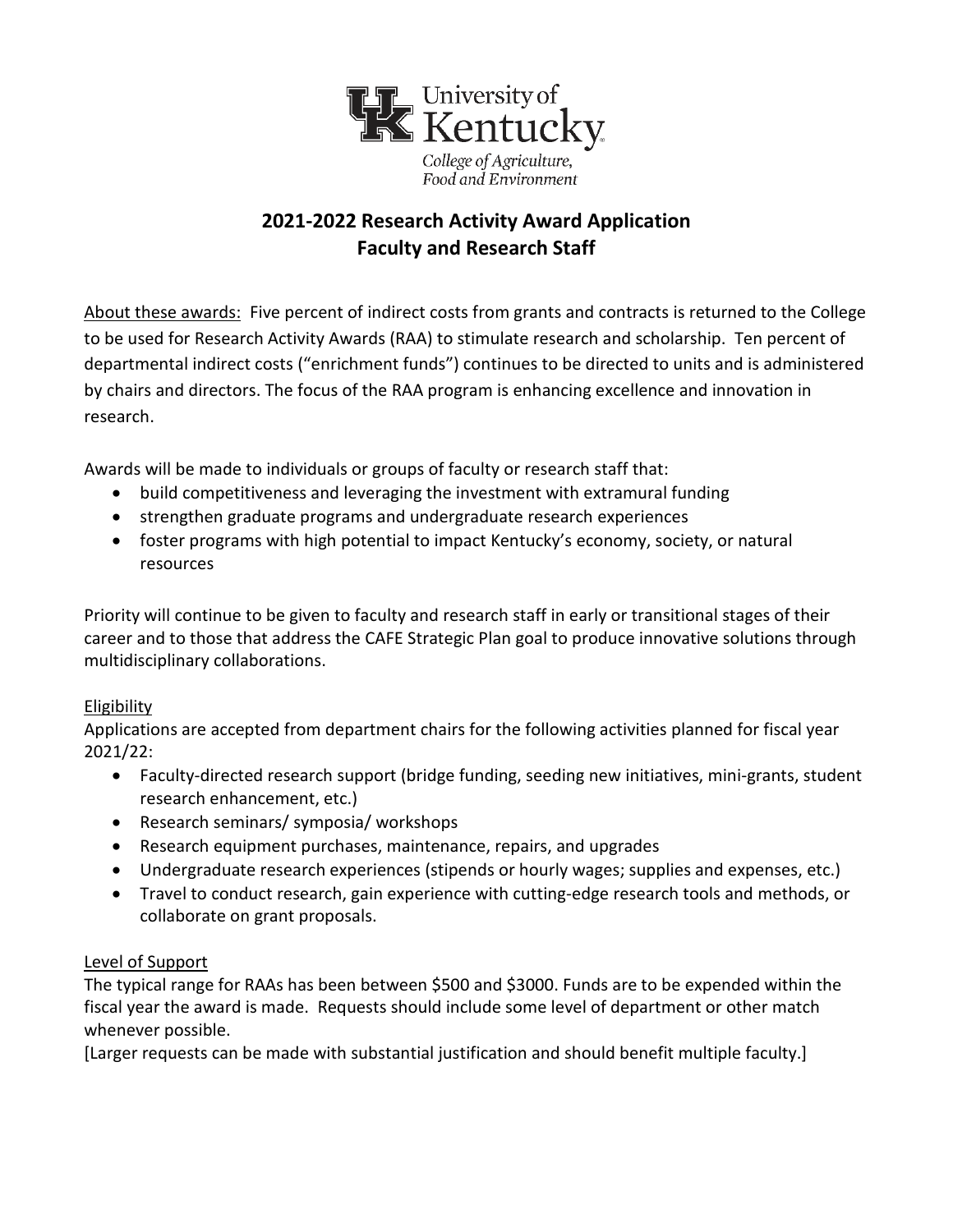

# **2021-2022 Research Activity Award Application Faculty and Research Staff**

About these awards: Five percent of indirect costs from grants and contracts is returned to the College to be used for Research Activity Awards (RAA) to stimulate research and scholarship. Ten percent of departmental indirect costs ("enrichment funds") continues to be directed to units and is administered by chairs and directors. The focus of the RAA program is enhancing excellence and innovation in research.

Awards will be made to individuals or groups of faculty or research staff that:

- build competitiveness and leveraging the investment with extramural funding
- strengthen graduate programs and undergraduate research experiences
- foster programs with high potential to impact Kentucky's economy, society, or natural resources

Priority will continue to be given to faculty and research staff in early or transitional stages of their career and to those that address the CAFE Strategic Plan goal to produce innovative solutions through multidisciplinary collaborations.

#### **Eligibility**

Applications are accepted from department chairs for the following activities planned for fiscal year 2021/22:

- Faculty-directed research support (bridge funding, seeding new initiatives, mini-grants, student research enhancement, etc.)
- Research seminars/ symposia/ workshops
- Research equipment purchases, maintenance, repairs, and upgrades
- Undergraduate research experiences (stipends or hourly wages; supplies and expenses, etc.)
- Travel to conduct research, gain experience with cutting-edge research tools and methods, or collaborate on grant proposals.

#### Level of Support

The typical range for RAAs has been between \$500 and \$3000. Funds are to be expended within the fiscal year the award is made. Requests should include some level of department or other match whenever possible.

[Larger requests can be made with substantial justification and should benefit multiple faculty.]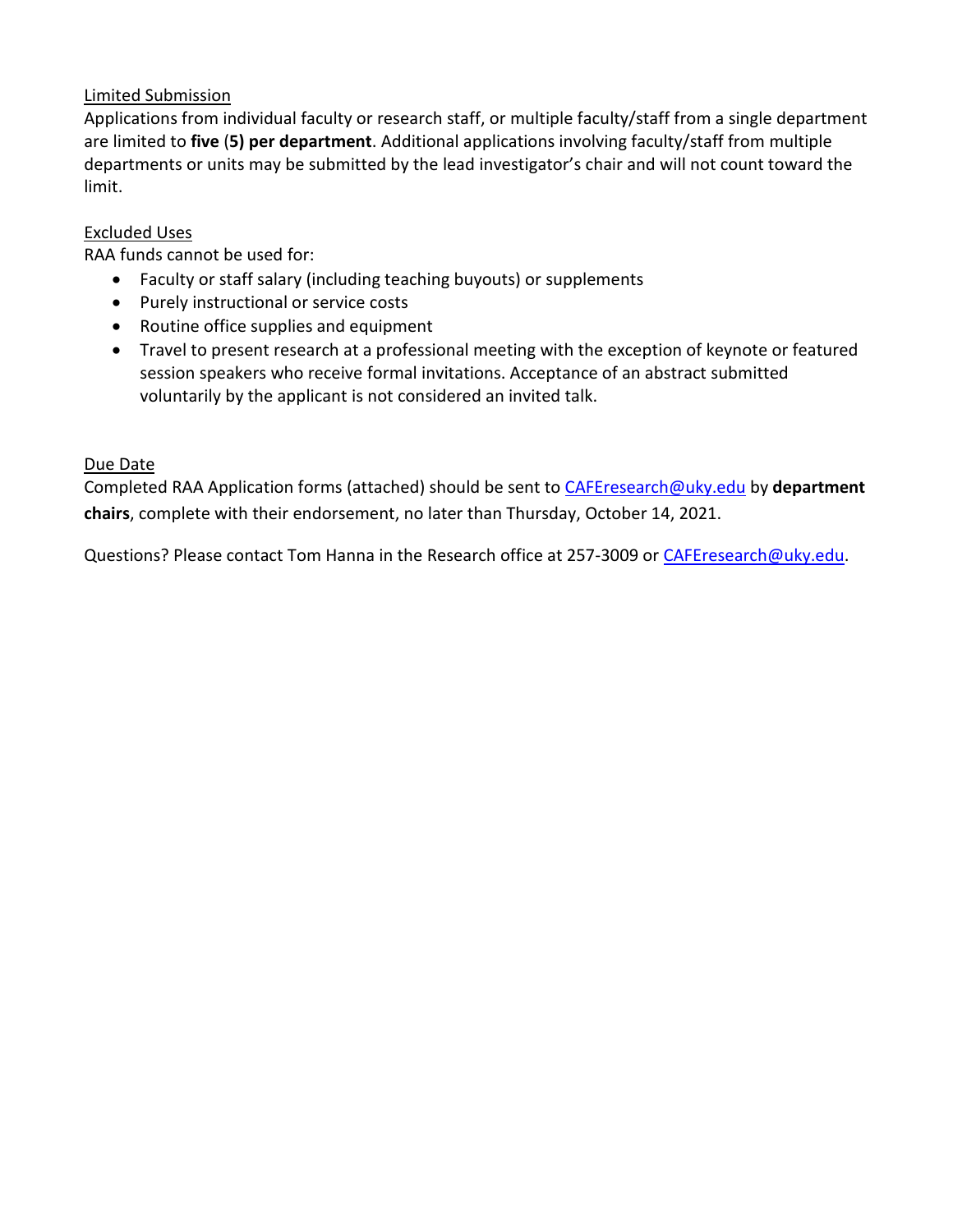### Limited Submission

Applications from individual faculty or research staff, or multiple faculty/staff from a single department are limited to **five** (**5) per department**. Additional applications involving faculty/staff from multiple departments or units may be submitted by the lead investigator's chair and will not count toward the limit.

#### Excluded Uses

RAA funds cannot be used for:

- Faculty or staff salary (including teaching buyouts) or supplements
- Purely instructional or service costs
- Routine office supplies and equipment
- Travel to present research at a professional meeting with the exception of keynote or featured session speakers who receive formal invitations. Acceptance of an abstract submitted voluntarily by the applicant is not considered an invited talk.

#### Due Date

Completed RAA Application forms (attached) should be sent to [CAFEresearch@uky.edu](mailto:CAFEresearch@uky.edu) by **department chairs**, complete with their endorsement, no later than Thursday, October 14, 2021.

Questions? Please contact Tom Hanna in the Research office at 257-3009 or [CAFEresearch@uky.edu.](mailto:CAFEresearch@uky.edu)